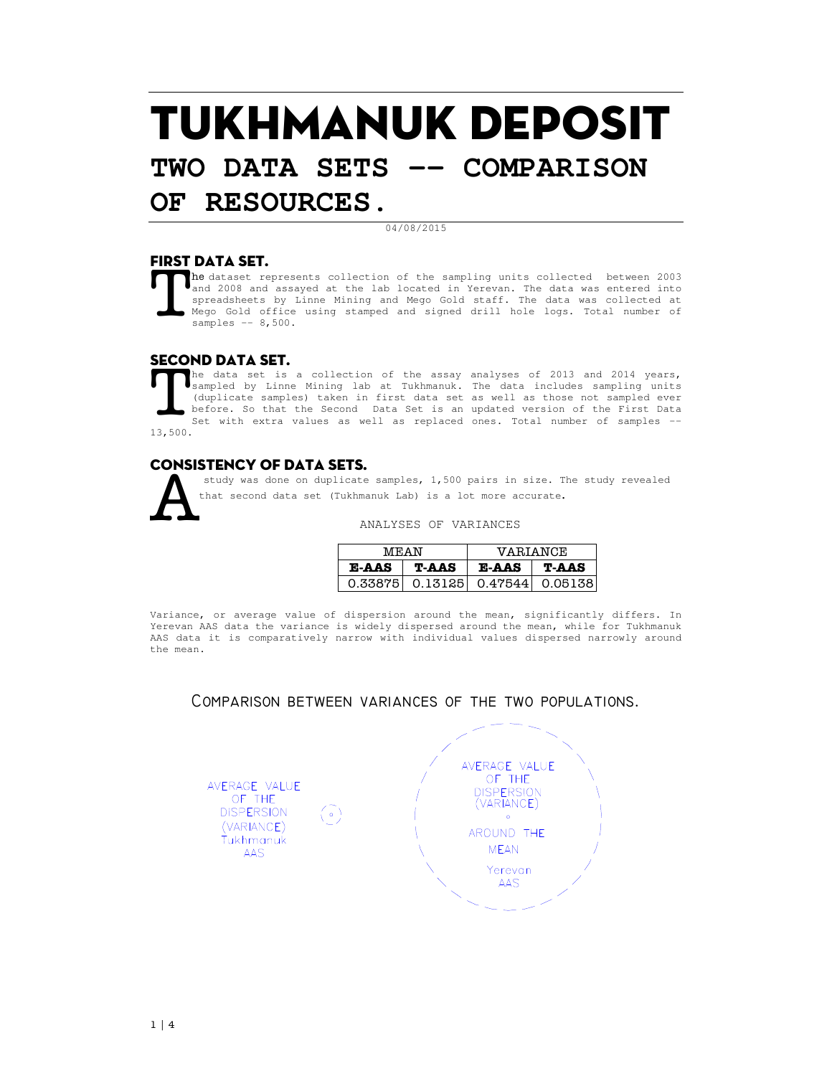# TUKHMANUK DEPOSIT **TWO DATA SETS -- COMPARISON**

## **OF RESOURCES.**

#### 04/08/2015

## FIRST DATA SET.

he dataset represents collection of the sampling units collected between 2003 and 2008 and assayed at the lab located in Yerevan. The data was entered into spreadsheets by Linne Mining and Mego Gold staff. The data was collected at Mego Gold office using stamped and signed drill hole logs. Total number of samples -- 8,500. T

### SECOND DATA SET.

he data set is a collection of the assay analyses of 2013 and 2014 years, sampled by Linne Mining lab at Tukhmanuk. The data includes sampling units (duplicate samples) taken in first data set as well as those not sampled ever before. So that the Second Data Set is an updated version of the First Data Set with extra values as well as replaced ones. Total number of samples -- 13,500. **T** 

## Consistency of data sets.



study was done on duplicate samples, 1,500 pairs in size. The study revealed that second data set (Tukhmanuk Lab) is a lot more accurate.

#### ANALYSES OF VARIANCES

| MEAN         |                                 | <b>VARIANCE</b> |       |  |
|--------------|---------------------------------|-----------------|-------|--|
| <b>E-AAS</b> | T-AAS                           | <b>E-AAS</b>    | T-AAS |  |
|              | 0.33875 0.13125 0.47544 0.05138 |                 |       |  |

Variance, or average value of dispersion around the mean, significantly differs. In Yerevan AAS data the variance is widely dispersed around the mean, while for Tukhmanuk AAS data it is comparatively narrow with individual values dispersed narrowly around the mean.

Comparison between variances of the two populations.

AVERAGE VALUE OF THE **DISPERSION**  $\left( \circ \right)$ (VARIANCE) Tukhmanuk AAS

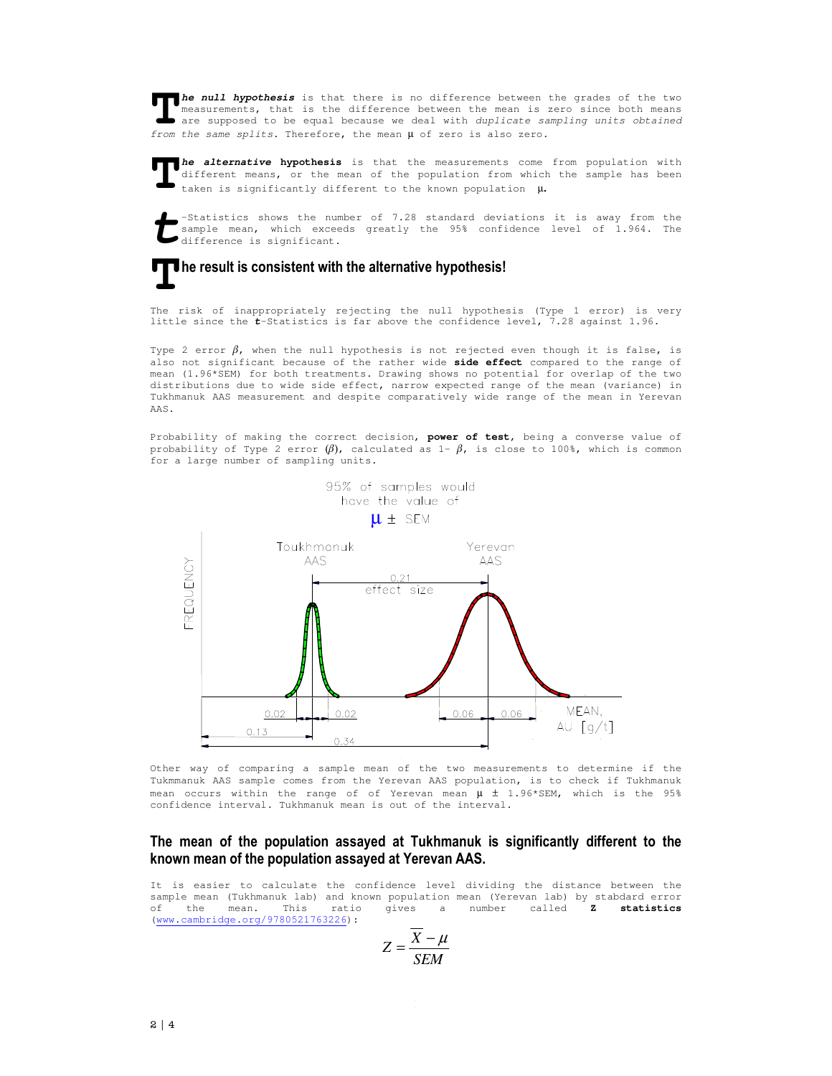**he null hypothesis** is that there is no difference between the grades of the two measurements, that is the difference between the mean is zero since both means **are supposed to be equal because we deal with duplicate sampling units obtained** from the same supposed to be equal because we deal with duplicate sampling units obtained from the same supposed to be equal because we deal from the same splits. Therefore, the mean  $\mu$  of zero is also zero.

**he alternative hypothesis** is that the measurements come from population with<br>different means, or the mean of the population from which the sample has been<br>taken is significantly different to the known population  $\mu$ . different means, or the mean of the population from which the sample has been taken is significantly different to the known population  $\mu$ .

-Statistics shows the number of 7.28 standard deviations it is away from the sample mean, which exceeds greatly the 95% confidence level of 1.964. The difference is significant. **t**

## **he result is consistent with the alternative hypothesis! T**

The risk of inappropriately rejecting the null hypothesis (Type 1 error) is very little since the **t**-Statistics is far above the confidence level, 7.28 against 1.96.

Type 2 error  $\beta$ , when the null hypothesis is not rejected even though it is false, is also not significant because of the rather wide **side effect** compared to the range of mean (1.96\*SEM) for both treatments. Drawing shows no potential for overlap of the two distributions due to wide side effect, narrow expected range of the mean (variance) in Tukhmanuk AAS measurement and despite comparatively wide range of the mean in Yerevan AAS.

Probability of making the correct decision, **power of test**, being a converse value of probability of Type 2 error  $(\beta)$ , calculated as 1-  $\beta$ , is close to 100%, which is common for a large number of sampling units.



Other way of comparing a sample mean of the two measurements to determine if the Tukmmanuk AAS sample comes from the Yerevan AAS population, is to check if Tukhmanuk mean occurs within the range of of Yerevan mean  $\mu \pm 1.96*$ SEM, which is the 95% confidence interval. Tukhmanuk mean is out of the interval.

### **The mean of the population assayed at Tukhmanuk is significantly different to the known mean of the population assayed at Yerevan AAS.**

It is easier to calculate the confidence level dividing the distance between the sample mean (Tukhmanuk lab) and known population mean (Yerevan lab) by stabdard error<br>of the mean. This ratio gives a number called **Z statistics** of the mean. This ratio gives a number called **Z statistics** (www.cambridge.org/9780521763226):

$$
Z = \frac{\overline{X} - \mu}{SEM}
$$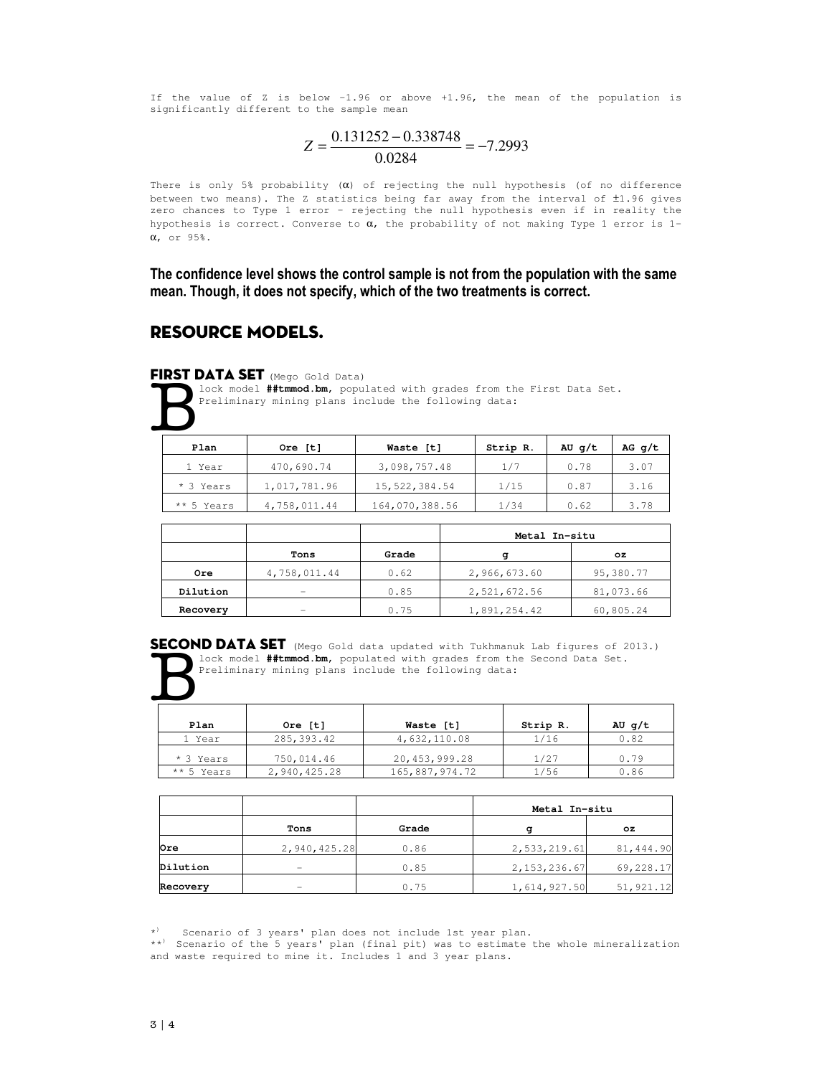If the value of Z is below –1.96 or above +1.96, the mean of the population is significantly different to the sample mean

$$
Z = \frac{0.131252 - 0.338748}{0.0284} = -7.2993
$$

There is only 5% probability  $(\alpha)$  of rejecting the null hypothesis (of no difference between two means). The Z statistics being far away from the interval of ±1.96 gives zero chances to Type 1 error – rejecting the null hypothesis even if in reality the hypothesis is correct. Converse to  $\alpha$ , the probability of not making Type 1 error is 1α, or 95%.

**The confidence level shows the control sample is not from the population with the same mean. Though, it does not specify, which of the two treatments is correct.**

## RESOURCE MODELS.

#### FIRST DATA SET (Mego Gold Data)



lock model **##tmmod.bm**, populated with grades from the First Data Set. Preliminary mining plans include the following data:

| Plan       | Ore [t]      | Waste [t]      | Strip R. | AU $q/t$ | $AG$ q/t |
|------------|--------------|----------------|----------|----------|----------|
| 1 Year     | 470,690.74   | 3,098,757.48   | 1/7      | 0.78     | 3.07     |
| * 3 Years  | 1,017,781.96 | 15,522,384.54  | 1/15     | 0.87     | 3.16     |
| ** 5 Years | 4,758,011.44 | 164,070,388.56 | 1/34     | 0.62     | 3.78     |

|          |              |       | Metal In-situ |           |  |
|----------|--------------|-------|---------------|-----------|--|
|          | Tons         | Grade | σ             | OZ.       |  |
| Ore      | 4,758,011.44 | 0.62  | 2,966,673.60  | 95,380.77 |  |
| Dilution | -            | 0.85  | 2,521,672.56  | 81,073.66 |  |
| Recovery | -            | 0.75  | 1,891,254.42  | 60,805.24 |  |

SECOND DATA SET (Mego Gold data updated with Tukhmanuk Lab figures of 2013.) lock model **##tmmod.bm**, populated with grades from the Second Data Set. Preliminary mining plans include the following data:  $\overline{\mathbf{B}}$ 

| Plan       | Ore [t]      | Waste [t]      | Strip R. | AU $q/t$ |
|------------|--------------|----------------|----------|----------|
| 1 Year     | 285, 393.42  | 4,632,110.08   | 1/16     | 0.82     |
| * 3 Years  | 750,014.46   | 20,453,999.28  | 1/27     | 0.79     |
| ** 5 Years | 2,940,425.28 | 165,887,974.72 | 1/56     | 0.86     |

|          |              |       | Metal In-situ  |            |  |
|----------|--------------|-------|----------------|------------|--|
|          | Tons         | Grade | σ              | OZ.        |  |
| Ore      | 2,940,425.28 | 0.86  | 2,533,219.61   | 81,444.90  |  |
| Dilution |              | 0.85  | 2, 153, 236.67 | 69,228.17  |  |
| Recovery | -            | 0.75  | 1,614,927.50   | 51, 921.12 |  |

 $\star$ ) Scenario of 3 years' plan does not include 1st year plan.

\*\*<sup>)</sup> Scenario of the 5 years' plan (final pit) was to estimate the whole mineralization and waste required to mine it. Includes 1 and 3 year plans.